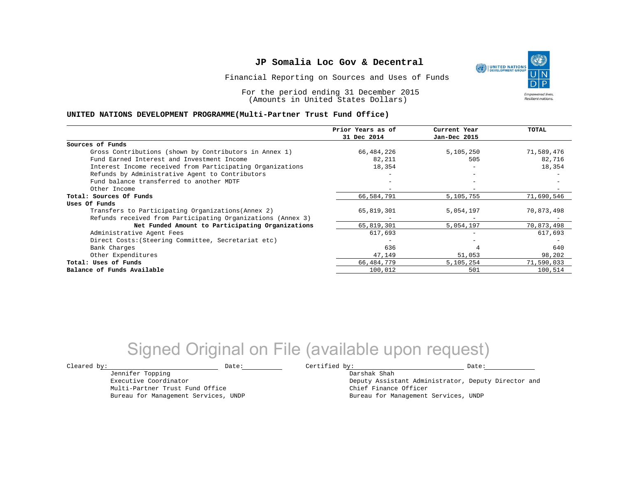Financial Reporting on Sources and Uses of Funds

For the period ending 31 December 2015 (Amounts in United States Dollars)

### **UNITED NATIONS DEVELOPMENT PROGRAMME(Multi-Partner Trust Fund Office)**

|                                                             | Prior Years as of<br>31 Dec 2014 | Current Year<br>Jan-Dec 2015 | TOTAL      |
|-------------------------------------------------------------|----------------------------------|------------------------------|------------|
|                                                             |                                  |                              |            |
| Sources of Funds                                            |                                  |                              |            |
| Gross Contributions (shown by Contributors in Annex 1)      | 66,484,226                       | 5,105,250                    | 71,589,476 |
| Fund Earned Interest and Investment Income                  | 82,211                           | 505                          | 82,716     |
| Interest Income received from Participating Organizations   | 18,354                           | $\overline{\phantom{a}}$     | 18,354     |
| Refunds by Administrative Agent to Contributors             |                                  | $-$                          |            |
| Fund balance transferred to another MDTF                    |                                  |                              |            |
| Other Income                                                |                                  |                              |            |
| Total: Sources Of Funds                                     | 66,584,791                       | 5,105,755                    | 71,690,546 |
| Uses Of Funds                                               |                                  |                              |            |
| Transfers to Participating Organizations (Annex 2)          | 65,819,301                       | 5,054,197                    | 70,873,498 |
| Refunds received from Participating Organizations (Annex 3) |                                  |                              |            |
| Net Funded Amount to Participating Organizations            | 65,819,301                       | 5,054,197                    | 70,873,498 |
| Administrative Agent Fees                                   | 617,693                          |                              | 617,693    |
| Direct Costs: (Steering Committee, Secretariat etc)         |                                  |                              |            |
| Bank Charges                                                | 636                              |                              | 640        |
| Other Expenditures                                          | 47,149                           | 51,053                       | 98,202     |
| Total: Uses of Funds                                        | 66, 484, 779                     | 5,105,254                    | 71,590,033 |
| Balance of Funds Available                                  | 100,012                          | 501                          | 100,514    |

## Signed Original on File (available upon request)

Jennifer Topping Executive Coordinator Multi-Partner Trust Fund Office Bureau for Management Services, UNDP

 $\texttt{Cleared by:}\footnotesize \begin{minipage}{0.9\linewidth} \texttt{Date:}\footnotesize \begin{minipage}{0.9\linewidth} \texttt{Date:}\footnotesize \begin{minipage}{0.9\linewidth} \end{minipage} \end{minipage}$ Darshak Shah

Deputy Assistant Administrator, Deputy Director and Chief Finance Officer Bureau for Management Services, UNDP

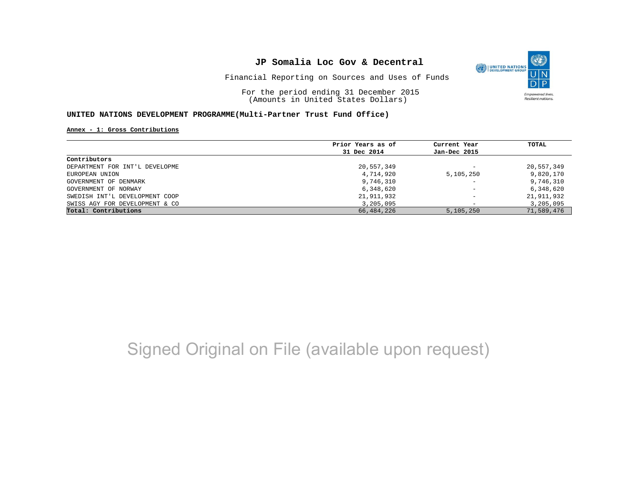

For the period ending 31 December 2015 (Amounts in United States Dollars)

#### **UNITED NATIONS DEVELOPMENT PROGRAMME(Multi-Partner Trust Fund Office)**

#### **Annex - 1: Gross Contributions**

|                                | Prior Years as of<br>31 Dec 2014 | Current Year<br>Jan-Dec 2015 | TOTAL      |
|--------------------------------|----------------------------------|------------------------------|------------|
|                                |                                  |                              |            |
| Contributors                   |                                  |                              |            |
| DEPARTMENT FOR INT'L DEVELOPME | 20,557,349                       | $\overline{\phantom{m}}$     | 20,557,349 |
| EUROPEAN UNION                 | 4,714,920                        | 5,105,250                    | 9,820,170  |
| GOVERNMENT OF DENMARK          | 9,746,310                        | $\overline{\phantom{m}}$     | 9,746,310  |
| GOVERNMENT OF NORWAY           | 6,348,620                        | $\overline{\phantom{0}}$     | 6,348,620  |
| SWEDISH INT'L DEVELOPMENT COOP | 21,911,932                       | $\overline{\phantom{m}}$     | 21,911,932 |
| SWISS AGY FOR DEVELOPMENT & CO | 3,205,095                        |                              | 3,205,095  |
| Total: Contributions           | 66, 484, 226                     | 5,105,250                    | 71,589,476 |

# Signed Original on File (available upon request)

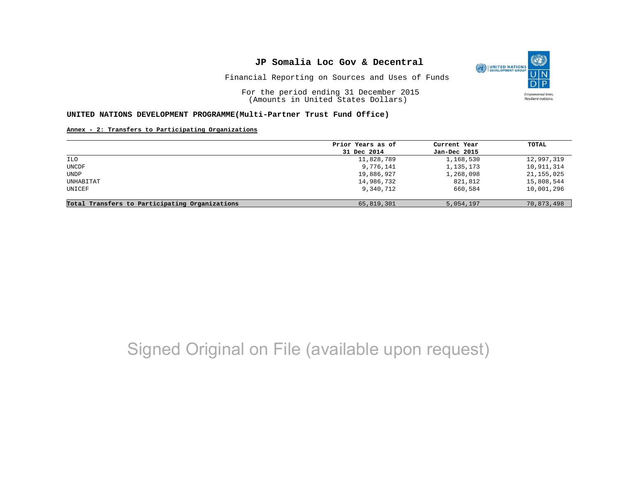

For the period ending 31 December 2015 (Amounts in United States Dollars)

### **UNITED NATIONS DEVELOPMENT PROGRAMME(Multi-Partner Trust Fund Office)**

### **Annex - 2: Transfers to Participating Organizations**

|                                                | Prior Years as of | Current Year | TOTAL        |
|------------------------------------------------|-------------------|--------------|--------------|
|                                                | 31 Dec 2014       | Jan-Dec 2015 |              |
| ILO                                            | 11,828,789        | 1,168,530    | 12,997,319   |
| UNCDF                                          | 9,776,141         | 1,135,173    | 10,911,314   |
| UNDP                                           | 19,886,927        | 1,268,098    | 21, 155, 025 |
| UNHABITAT                                      | 14,986,732        | 821,812      | 15,808,544   |
| UNICEF                                         | 9,340,712         | 660,584      | 10,001,296   |
| Total Transfers to Participating Organizations | 65,819,301        | 5,054,197    | 70,873,498   |

## Signed Original on File (available upon request)